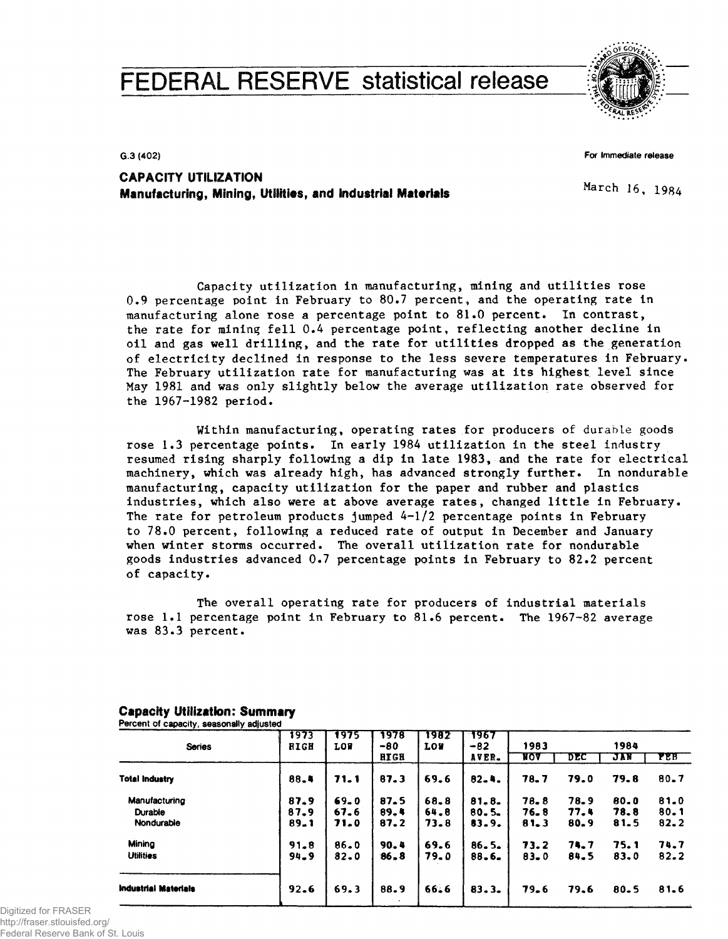# FEDERAL RESERVE statistical release



**G.3 (402)**

**For immediate release**

**CAPACITY UTILIZATION Manufacturing, Mining, Utilities, and Industrial Materials**

March 16, 1984

Capacity utilization in manufacturing, mining and utilities rose 0.9 percentage point in February to 80.7 percent, and the operating rate in manufacturing alone rose a percentage point to 81.0 percent. In contrast, the rate for mining fell 0.4 percentage point, reflecting another decline in oil and gas well drilling, and the rate for utilities dropped as the generation of electricity declined in response to the less severe temperatures in February. The February utilization rate for manufacturing was at its highest level since May 1981 and was only slightly below the average utilization rate observed for the 1967-1982 period.

Within manufacturing, operating rates for producers of durable goods rose 1.3 percentage points. In early 1984 utilization in the steel industry resumed rising sharply following a dip in late 1983, and the rate for electrical machinery, which was already high, has advanced strongly further. In nondurable manufacturing, capacity utilization for the paper and rubber and plastics industries, which also were at above average rates, changed little in February. The rate for petroleum products jumped 4-1/2 percentage points in February to 78.0 percent, following a reduced rate of output in December and January when winter storms occurred. The overall utilization rate for nondurable goods industries advanced 0.7 percentage points in February to 82.2 percent of capacity.

The overall operating rate for producers of industrial materials rose 1.1 percentage point in February to 81.6 percent. The 1967-82 average was 83.3 percent.

| <b>Series</b>               | 1973<br><b>HIGH</b> | 1975<br><b>LOF</b> | 1978<br>$-80$ | 1982<br><b>LOW</b> | 1967<br>$-82$ | 1983       |      | 1984     |            |
|-----------------------------|---------------------|--------------------|---------------|--------------------|---------------|------------|------|----------|------------|
|                             |                     |                    | <b>HIGH</b>   |                    | AVER.         | <b>NOA</b> | DEC  | JIN      | <b>FEB</b> |
| <b>Total Industry</b>       | 88.4                | 71.1               | 87.3          | 69.6               | $82 - 4.$     | 78.7       | 79.0 | 79.8     | $80 - 7$   |
| Manufacturing               | 87.9                | $69 - 0$           | 87.5          | 68.8               | $81 - 8$      | 78.8       | 78.9 | 80.0     | 81.0       |
| Durable                     | 87.9                | 67.6               | 89.4          | 64.8               | $80 - 5 -$    | 76.8       | 77.4 | 78.8     | $80 - 1$   |
| Nondurable                  | $89 - 1$            | 71.0               | 87.2          | 73.8               | 83.9.         | 81.3       | 80.9 | 81.5     | 82.2       |
| Minina                      | 91.8                | 86.0               | 90.4          | 69.6               | $86 - 5$      | 73.2       | 74.7 | 75.1     | 74.7       |
| <b>Utilities</b>            | $94 - 9$            | $82 - 0$           | 86.8          | 79.0               | $88 - 6$      | 83.0       | 84.5 | 83.0     | 82.2       |
| <b>Industrial Materials</b> | 92.6                | 69.3               | 88.9          | 66.6               | 83.3.         | 79.6       | 79.6 | $80 - 5$ | 81.6       |
|                             |                     |                    |               |                    |               |            |      |          |            |

#### **Capacity Utilization: Summary Percent of capacity, seasonally adjusted**

Digitized for FRASER http://fraser.stlouisfed.org/ Federal Reserve Bank of St. Louis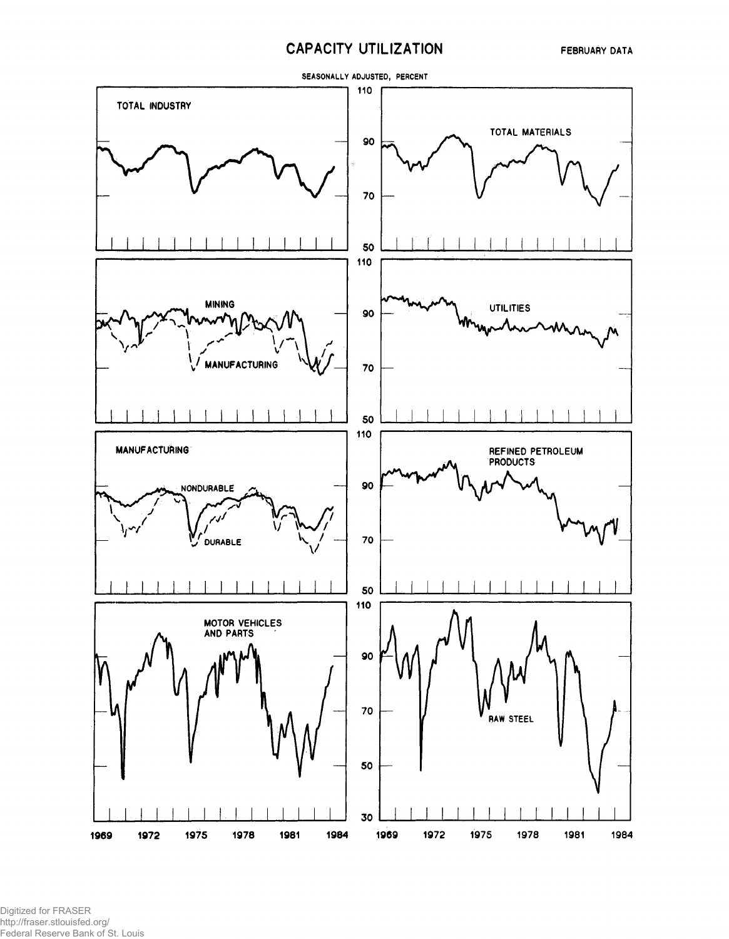# **CAPACITY UTILIZATION**



Digitized for FRASER http://fraser.stlouisfed.org/ Federal Reserve Bank of St. Louis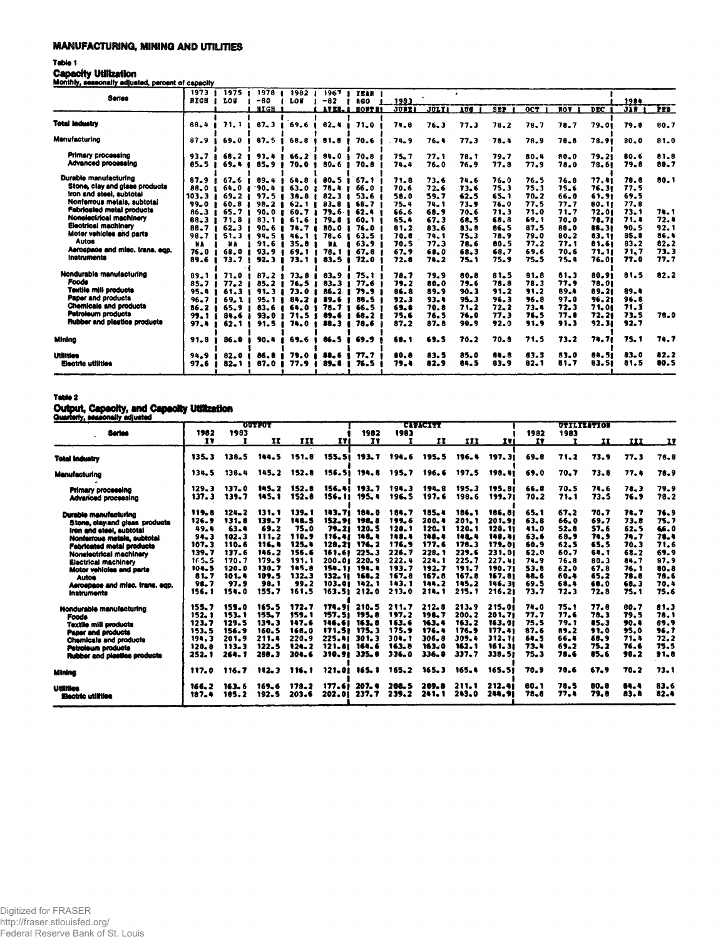### **MANUFACTURING, MINING AND UTILITIES**

#### Table 1

Capacity Utilization<br>Monthly, seasonally adjusted, percent of capacity

|                                                                                                                    | 1973                                 | 1975                                    | 1978                                                 | 1982                                                                   | 1967                                           | YEAR                                      |                              |                              |                                  |                              |                              |                              |                                  |                              |                                  |
|--------------------------------------------------------------------------------------------------------------------|--------------------------------------|-----------------------------------------|------------------------------------------------------|------------------------------------------------------------------------|------------------------------------------------|-------------------------------------------|------------------------------|------------------------------|----------------------------------|------------------------------|------------------------------|------------------------------|----------------------------------|------------------------------|----------------------------------|
| <b>Series</b>                                                                                                      | <b>RIGH</b>                          | LOB                                     | -80                                                  | LOW                                                                    | $-82$                                          | a co                                      | 1983                         |                              |                                  |                              |                              |                              |                                  | 1984                         |                                  |
|                                                                                                                    |                                      |                                         | HIGH 1                                               |                                                                        |                                                | <b>AVER. A HONTES</b>                     | <b>JUEE1</b>                 | <b>JULYI</b>                 | <b>AUS</b>                       | <b>SEP</b>                   | OCT.                         | NOT.                         | <b>DEC</b>                       | JIN.                         | PES <sup>-</sup>                 |
| <b>Total Industry</b>                                                                                              | 88.4                                 | 71.1                                    | $87 - 3$                                             | 69.6                                                                   | $82 - 4$                                       | 71.0                                      | 74.8                         | 76.3                         | 77.3                             | 78.2                         | 78.7                         | 78.7                         | 79.01                            | 79.8                         | 90.7                             |
| Manufacturing                                                                                                      | 87.9                                 | 69.0                                    | 87.5                                                 | 68.8                                                                   | 81.8                                           | 70.6                                      | $74 - 9$                     | $76 - 4$                     | 77.3                             | 78.4                         | 78.9                         | 78.8                         | 78.91                            | 80.0                         | 81.0                             |
| Primary processing<br>Advanced processing                                                                          | 93.7<br>85.5                         | 68.2 <sub>1</sub><br>$69 - 4$           | 91.4<br>$85 - 9$                                     | $66 - 2$<br>70.0                                                       | 84.0<br>80.6                                   | 70.8<br>$70 - 8$                          | $75 - 7$<br>74.4             | 77.1<br>76.0                 | 78.1<br>76.9                     | 79.7<br>77.8                 | 80.4<br>77.9                 | 80.0<br>78.0                 | 79.21<br>78.61                   | 80.6<br>79.8                 | 81.8<br>80.7                     |
| Durable manufacturing<br>Stone, clay and glass products<br>Iron and steel, subtotal<br>Nonferrous metals, subtotal | 87.9<br>88.0<br>103.3                | 67.6<br>64.0<br>$69 - 21$               | $89 - 4$<br>.90-4<br>97.5 <sub>1</sub>               | 64.8<br>$63 - 0$<br>38.8                                               | 80.5<br>78.4<br>82.3                           | 67.1<br>66.0<br>53.6                      | 71.8<br>70.6<br>58.0         | 73.6<br>72.6<br>59.7         | 74.6<br>73.6<br>62.5             | $76 - 0$<br>75.3<br>$65 - 1$ | 76.5<br>75.3<br>$70 - 2$     | 76.8<br>75.6<br>66.0         | 77.41<br>76.31<br>61.91          | 78.8<br>77.5<br>69.5         | 80.1                             |
| Fabricated metal products<br>Nonelectrical machinery<br><b>Electrical machinery</b><br>Motor vehicles and parts    | 99.0<br>$86 - 3$<br>$88 - 3$<br>88.7 | 60.8<br>-<br>65.71<br>71.8<br>$62 - 31$ | $98 - 2$ $8$<br>90.0 <sub>1</sub><br>ı<br>$90 - 6$ 1 | 62.1<br><b>60.71</b><br>$83.1$ $1$ $61.6$<br>74.7 4                    | $83 - 8$<br>79.6<br>79.8<br>- 1<br><b>80.0</b> | 68.7<br>62.4<br>60.1<br>76.0              | 75.4<br>66.6<br>65.4<br>81.2 | 74.1<br>68.9<br>67.3<br>83.6 | 73.9<br>$70 - 6$<br>68.5<br>83.8 | 76.0<br>71.3<br>68.8<br>86.5 | 77.5<br>71.0<br>69.1<br>87.5 | 77.7<br>71.7<br>70.0<br>88.0 | 80.11<br>72.01<br>70.71<br>88.31 | 77.8<br>73.1<br>71.4<br>90.5 | 74.1<br>72. I<br>92.1            |
| Autos<br>Aerospace and misc, trans, ego,<br>Instruments                                                            | 98.7<br>NA<br>76.0<br>89.6           | 51.3 <sub>1</sub><br>68.0<br>73.7       | 91.6<br>93.9<br>-1<br>92.3                           | $94.5$ $146.1$<br>$35 - 8 +$<br>$\bullet$<br>69.1 <sub>1</sub><br>73.1 | 78.6<br>ЖA<br>78.1<br>83.5                     | 63.5<br>63.9 <sub>1</sub><br>67.8<br>72.0 | 70.6<br>70.5<br>67.9<br>72.8 | 74.1<br>77.3<br>68.0<br>74.2 | $75 - 3$<br>78.6<br>68.3<br>75.1 | 78.9<br>80.5<br>68.7<br>75.9 | 79.0<br>77.2<br>69.6<br>75.5 | 80.2<br>77.1<br>70.6<br>75.4 | 83.11<br>81.61<br>71.11<br>76.01 | 85.8<br>83.2<br>71.7<br>77.0 | 86.1<br>$82 - 2$<br>73.3<br>77.7 |
| Nondurable manufacturing<br>Foods<br><b>Textile mill products</b>                                                  | 89.1<br>85.7<br>95.4                 | 71.0<br>77.2<br>61.3 <sub>1</sub>       | $87 - 2$<br>85.2<br>91.3                             | 73.8<br>76.5<br>73.0                                                   | $83 - 9$<br>83.3<br>$86 - 2$                   | 75. 1<br>77.6<br>79.9                     | 78.7<br>79.2<br>86.8         | 79.9<br>80.0<br>89.9         | 80.8<br>79.6<br>90.3             | 81.5<br>78.8<br>91.2         | 81.8<br>78.3<br>91.2         | 81.3<br>77.9<br>89.4         | 80.91<br>78.01<br>89.21          | 81.5<br>89.4                 | 82.2                             |
| Paper and products<br><b>Chemicals and products</b><br>Petroleum products                                          | $96 - 7$<br>86.2<br>99.1             | 69.11<br>65.9<br>84.6                   | 95.1 <sub>1</sub><br>83.6<br>-1<br>$93 - 0$          | -8<br>84.2<br>64.0<br>71.5                                             | 89.6<br>78.7<br>89.6                           | 88.5<br>66.5<br>68.2                      | 92.3<br>69.0<br>75.6         | 93.4<br>70.8<br>76.5         | 95.3<br>71.2<br>76.0             | 96.3<br>72.2<br>77.3         | 96.8<br>73.4<br>76.5         | 97.0<br>72.3<br>77.8         | 96.21<br>71.01<br>72.21          | 96.8<br>71.3<br>73.5         | 78.0                             |
| Rubber and plastics products                                                                                       | 97.4                                 | 62.1                                    | 91.5                                                 | 74.0                                                                   | 88.3                                           | 78.6                                      | 87.2                         | 87.8                         | 90.9                             | 92.0                         | 91.9                         | 91.3                         | 92.31                            | 92.7                         |                                  |
| Mining                                                                                                             | 91.8                                 | 86.0                                    | 90.8                                                 | 69.6                                                                   | 86.5                                           | 69.9                                      | 68.1                         | 69.5                         | $70 - 2$                         | 70.8                         | 71.5                         | 73.2                         | 74.71                            | <b>75.1</b>                  | 74.7                             |
| Utilities<br>Electric utilities                                                                                    | 94.9<br>97.6                         | 82.0<br>82_1                            | 86.0<br>87.0                                         | 79.0<br>77.9                                                           | 88.6<br>89. S                                  | 77.7<br>76.5                              | 80.8<br>79.4                 | 83.5<br>82.9                 | 85.0<br>84.5                     | 84.8<br>83.9                 | 83.3<br>82.1                 | 83.0<br>81.7                 | 84.51<br>83.51                   | 83.0<br>81.5                 | 82.2<br>80.5                     |

#### Table 2

## Output, Capacity, and Capacity Utilization

| .                               |        |           | <b>OUTPUT</b> |       |        |              |       | <b>CIPACITT</b> |              |        |          |       | UTILIZATION |       |      |
|---------------------------------|--------|-----------|---------------|-------|--------|--------------|-------|-----------------|--------------|--------|----------|-------|-------------|-------|------|
| Series                          | 1982   | 1983      |               |       |        | 1982         | 1983  |                 |              |        | 1982     | 1983  |             |       |      |
|                                 | IV     |           | II            | III   | I٧     | <b>IV</b>    |       | ${\bf II}$      | III          | IVI    | TV       |       | II          | III   | TV.  |
| <b>Total Industry</b>           | 135.3  | 138.5     | 144.5         | 151.8 | 155.51 | 193.7        | 194.6 | 195.5           | 196.4        | 197.31 | 69.8     | 71.2  | 73.9        | 77.3  | 76.8 |
| Manufacturing                   | 134.5  | 138.4     | 145.2         | 152.8 | 156.51 | 194.8        | 195.7 | 196.6           | 197.5        | 198.41 | 69.0     | 70.7  | 73.8        | 77.4  | 76.9 |
| <b>Primary processing</b>       | 129.3  | 137.0     | 145.2         | 152.8 | 156.41 | 193.7        | 194.3 | 194.8           | 195.3        | 195.81 | 66.8     | 70.5  | 74.6        | 78.3  | 79.9 |
| Advanced processing             | 137.3  | 139.7     | 145.1         | 152.0 | 156.11 | 195.4        | 196.5 | 197.6           | 198.6        | 199.71 | 70.2     | 71.1  | 73.5        | 76.9  | 78.2 |
| Durable manufacturing           | 119.8  | $124 - 2$ | 131.1         | 139.1 | 183.71 | 184.0        | 184.7 | 185.4           | 186.1        | 186.01 | 65.1     | 67.2  | 70.7        | 74.7  | 76.9 |
| Stone, clay and glass products  | 126.9  | 131.8     | 139.7         | 148.5 | 152.91 | 198.8        | 199.6 | 200.4           | 201.1        | 201.91 | $63 - 8$ | 66.0  | 69.7        | 73.8  | 75.7 |
| Iron and steel, subtotal        | 49.4   | 63.4      | 69.2          | 75.0  | 79.21  | 120.5        | 120.1 | 120.1           | 120.1        | 120.11 | 41.0     | 52.8  | 57.6        | 62.5  | 66.0 |
| Nonferrous metals, aubtotal     | 94.3   | 102.3     | 111.2         | 110.9 | 116.41 | 148. 4       | 148.4 | 148.4           | <b>148.4</b> | 149.41 | 63.6     | 68.9  | 74.9        | 74.7  | 78.4 |
| Fabricated metal products       | 107.3  | 110.6     | 116.4         | 125.4 | 128.21 | 176.2        | 176.9 | 177.6           | 178.3        | 179.01 | 60.9     | 62.5  | 65.5        | 70.3  | 71.6 |
| Nonelectrical machinery         | 139.7  | 137.6     | 146.2         | 156.6 | 161.61 | 225.3        | 226.7 | 228. 1          | 229.6        | 231.01 | 62.0     | 60.7  | 64.1        | 68.2  | 69.9 |
| Electrical machinery            | 165.5  | 170.7     | 179.9         | 191.1 |        | 200.01 220.9 | 222.4 | 224.1           | 225.7        | 227.41 | 74.9     | 76.8  | 80.3        | 84.7  | 87.9 |
| Motor vehicles and parts        | 104.5  | $120 - 0$ | 130.7         | 145.8 |        | 154.11 194.4 | 193.7 | 192.7           | 191.7        | 190.71 | 53.8     | 62.0  | 67.8        | 76. 1 | 80.8 |
| <b>Autos</b>                    | 81.7   | 101.4     | 109.5         | 132.3 | 132.11 | 168.2        | 167.8 | 167.8           | 167.8        | 167.81 | 48.6     | 60.4  | 65.2        | 78.8  | 78.6 |
| Aerospace and misc. trans. eqp. | 98.7   | 97.9      | 98.1          | 99.2  | 103.01 | 142.1        | 143.1 | 144.2           | 145.2        | 146.31 | 69.5     | 68.4  | 68.0        | 68. 3 | 70.4 |
| Inatruments                     | 156.1  | 154.0     | 155.7         | 161.5 | 163.51 | 212.0        | 213.0 | 214.1           | 215.1        | 216.21 | 73.7     | 72.3  | 72.8        | 75. 1 | 75.6 |
| Nondurable manufacturing        | 155. 7 | 159.0     | 165.5         | 172.7 | 174.91 | 210.5        | 211.7 | 212.8           | 213.9        | 215.01 | 74.0     | 75.1  | 77.8        | 80.7  | 81.3 |
| <b>Foods</b>                    | 152. 1 | 153.1     | 155.7         | 159.1 | 157.51 | 195.8        | 197.2 | 198.7           | 200.2        | 201.71 | 77.7     | 77.6  | 78.3        | 79.5  | 78.1 |
| <b>Textile mill products</b>    | 123.7  | 129.5     | 139.3         | 147.6 | 146.61 | 163.8        | 163.6 | 163.1           | 163.2        | 163.01 | 75.5     | 79. 1 | 85.3        | 90. L | 89.9 |
| Paper and products              | 153.5  | 156.9     | 160.5         | 168.0 | 171.51 | 175.3        | 175.9 | 176.4           | 176.9        | 177.41 | 87.6     | 89.2  | 91.0        | 95.0  | 96.7 |
| <b>Chemicals and products</b>   | 194.3  | 201.9     | 211.4         | 220.9 | 225.41 | 301.3        | 304.1 | 306.8           | 309.4        | 312.11 | 64.5     | 66.4  | 68.9        | 71. h | 72.2 |
| Petroleum products              | 120.8  | 113.3     | 122.5         | 124.2 | 121.81 | 164.6        | 163.8 | 163.0           | 162.1        | 161.31 | 73.4     | 69.2  | 75.2        | 76.6  | 75.5 |
| Rubber and plastice products    | 252.1  | 264.1     | 268.3         | 304.6 | 310.91 | 335.0        | 336.0 | 336.8           | 337.7        | 338.51 | 75.3     | 78.6  | 85.6        | 90.2  | 91.8 |
| Mining                          | 117.0  | 116.7     | 112.3         | 116.1 | 121.01 | 165. 1       | 165.2 | 165.3           | 165.4        | 165.51 | 70.9     | 70.6  | 67.9        | 70.2  | 73.1 |
| Utilitica                       | 166. 2 | 163.6     | 169.6         | 178.2 | 177.61 | 207.4        | 200.5 | 209.8           | 211.1        | 212.41 | 80.1     | 78.5  | 80.8        | 84.4  | 83.6 |
| Electric utilities              | 187.4  | 185.2     | 192.5         | 203.6 | 202.OI | 237.7        | 239.2 | 241.1           | 243.0        | 248.91 | 78.8     | 77. L | 79.8        | 83.8  | 82.4 |